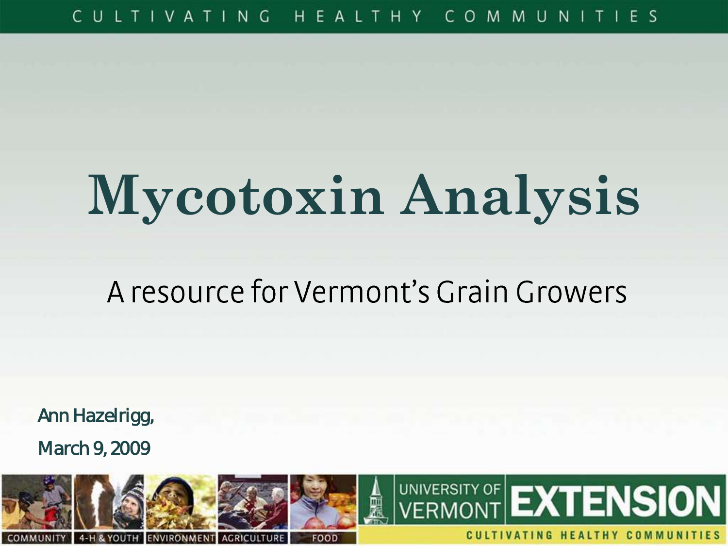# **Mycotoxin Analysis**

#### A resource for Vermont's Grain Growers

Ann Hazelrigg,

March 9, 2009

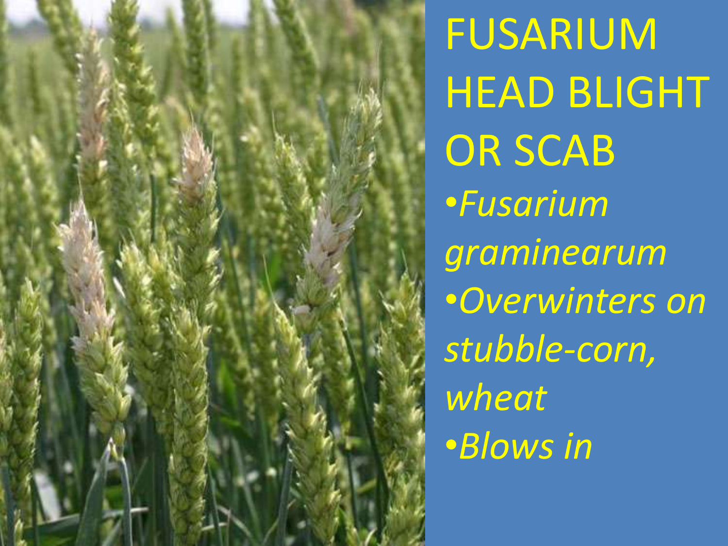FUSARIUM HEAD BLIGHT OR SCAB •*Fusarium graminearum* •*Overwinters on stubble-corn, wheat* •*Blows in*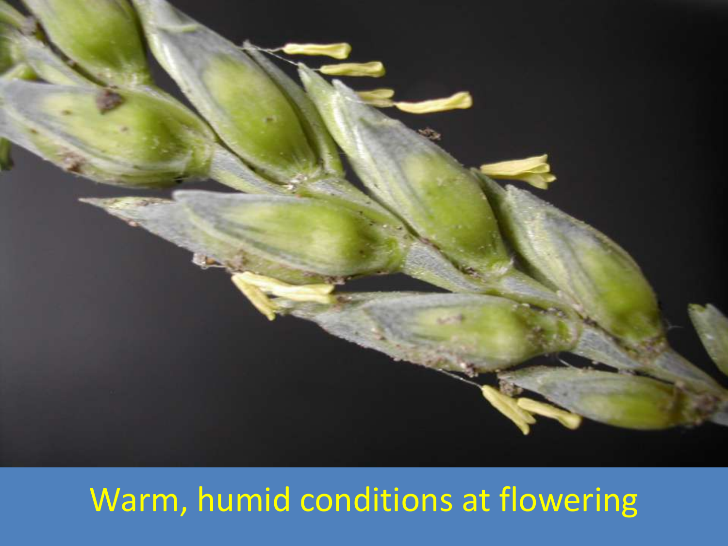

#### Warm, humid conditions at flowering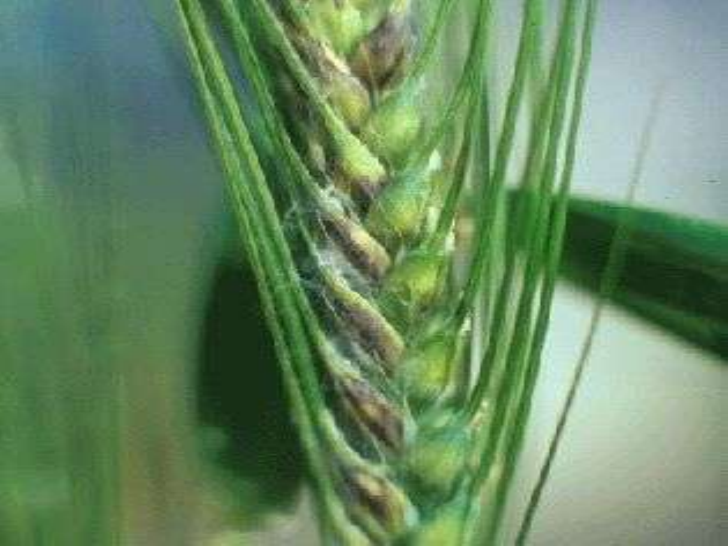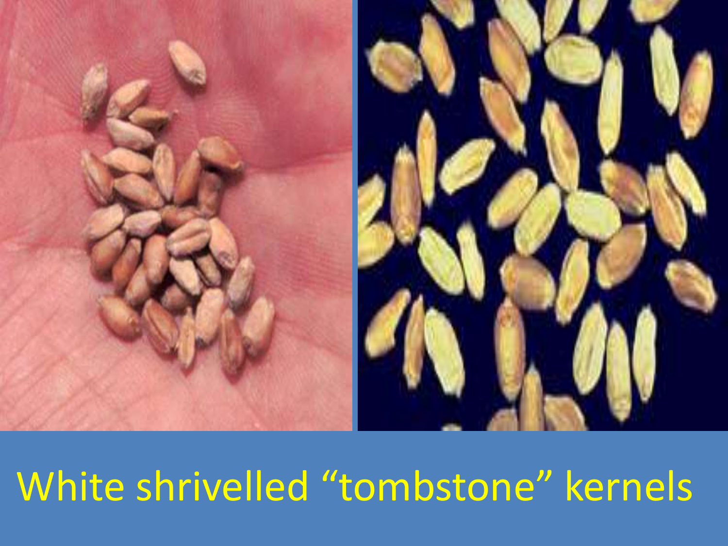

### White shrivelled "tombstone" kernels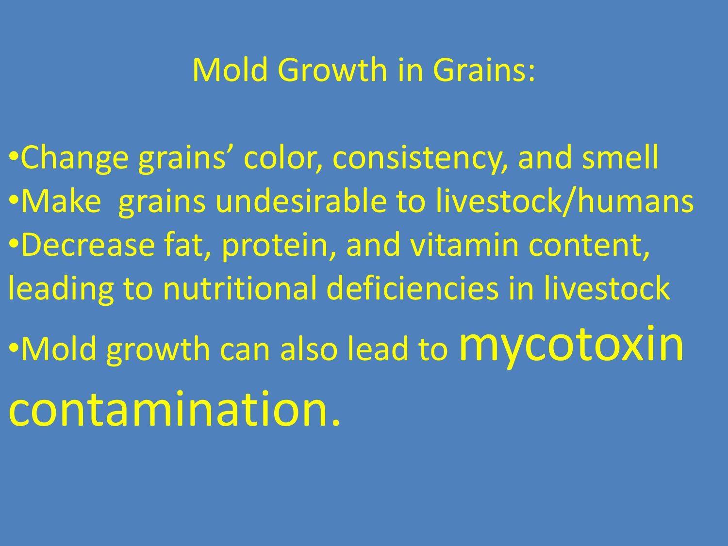#### Mold Growth in Grains:

•Change grains' color, consistency, and smell •Make grains undesirable to livestock/humans •Decrease fat, protein, and vitamin content, leading to nutritional deficiencies in livestock •Mold growth can also lead to mycotoxin contamination.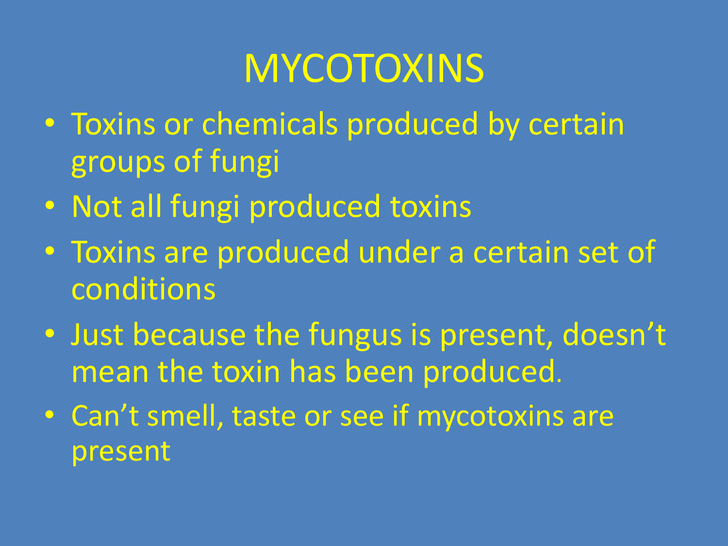### **MYCOTOXINS**

- Toxins or chemicals produced by certain groups of fungi
- Not all fungi produced toxins
- Toxins are produced under a certain set of conditions
- Just because the fungus is present, doesn't mean the toxin has been produced.
- Can't smell, taste or see if mycotoxins are present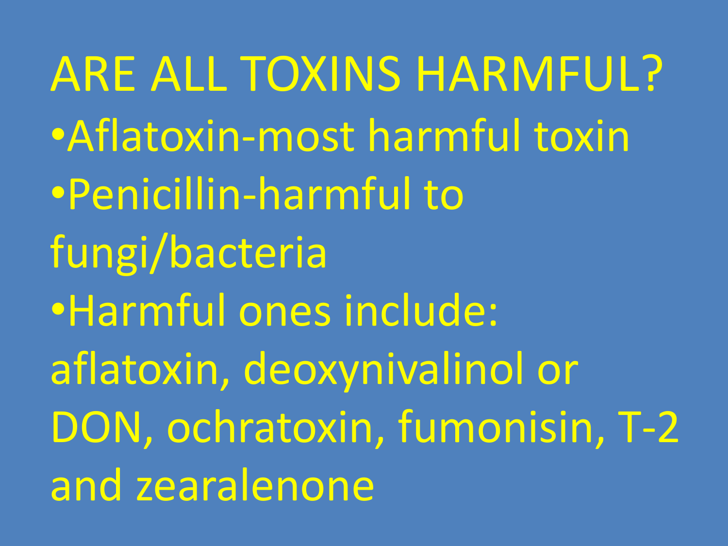ARE ALL TOXINS HARMFUL? •Aflatoxin-most harmful toxin •Penicillin-harmful to fungi/bacteria •Harmful ones include: aflatoxin, deoxynivalinol or DON, ochratoxin, fumonisin, T-2 and zearalenone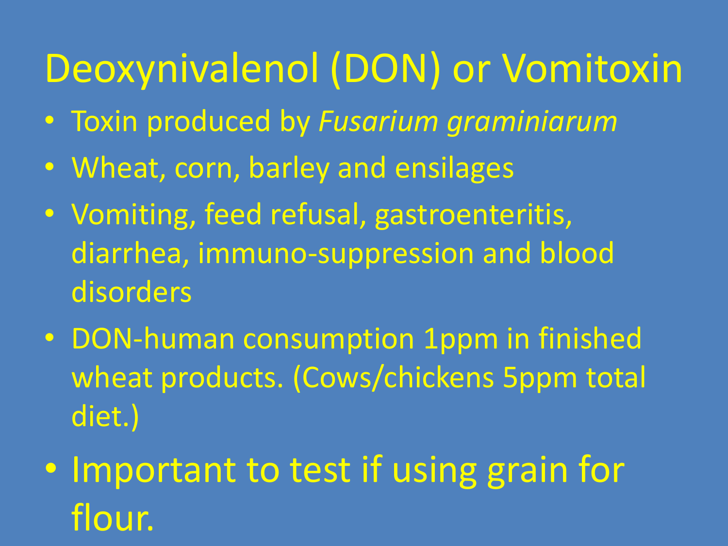# Deoxynivalenol (DON) or Vomitoxin

- Toxin produced by *Fusarium graminiarum*
- Wheat, corn, barley and ensilages
- Vomiting, feed refusal, gastroenteritis, diarrhea, immuno-suppression and blood disorders
- DON-human consumption 1ppm in finished wheat products. (Cows/chickens 5ppm total diet.)
- Important to test if using grain for flour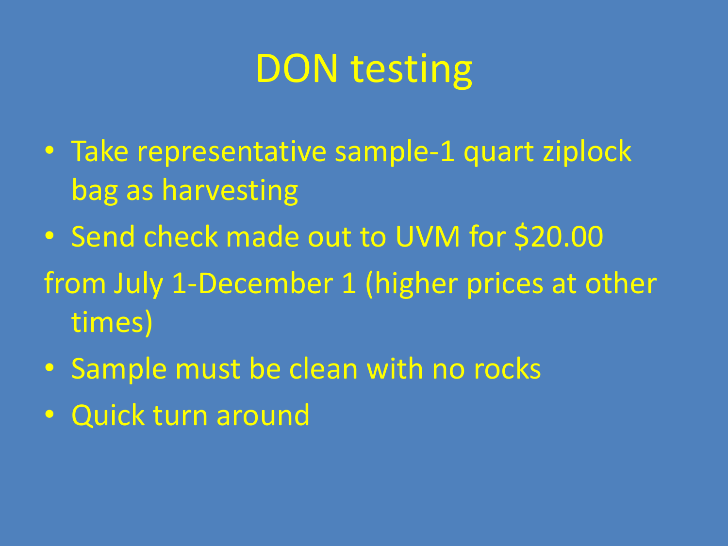### DON testing

- Take representative sample-1 quart ziplock bag as harvesting
- Send check made out to UVM for \$20.00
- from July 1-December 1 (higher prices at other times)
- Sample must be clean with no rocks
- Quick turn around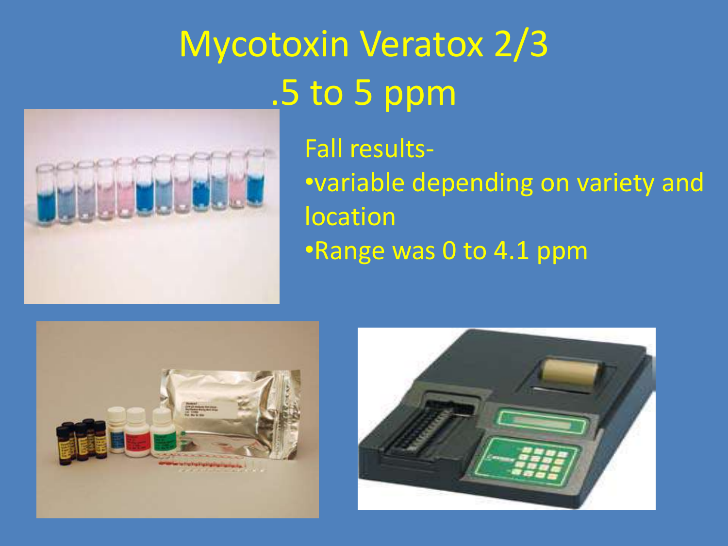# Mycotoxin Veratox 2/3 .5 to 5 ppm



Fall results- •variable depending on variety and location •Range was 0 to 4.1 ppm



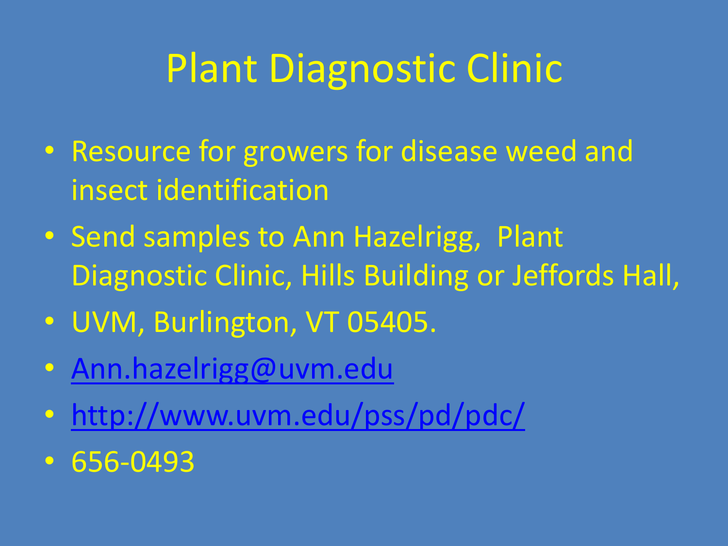# Plant Diagnostic Clinic

- Resource for growers for disease weed and insect identification
- Send samples to Ann Hazelrigg, Plant Diagnostic Clinic, Hills Building or Jeffords Hall,
- UVM, Burlington, VT 05405.
- [Ann.hazelrigg@uvm.edu](mailto:Ann.hazelrigg@uvm.edu)
- <http://www.uvm.edu/pss/pd/pdc/>
- 656-0493